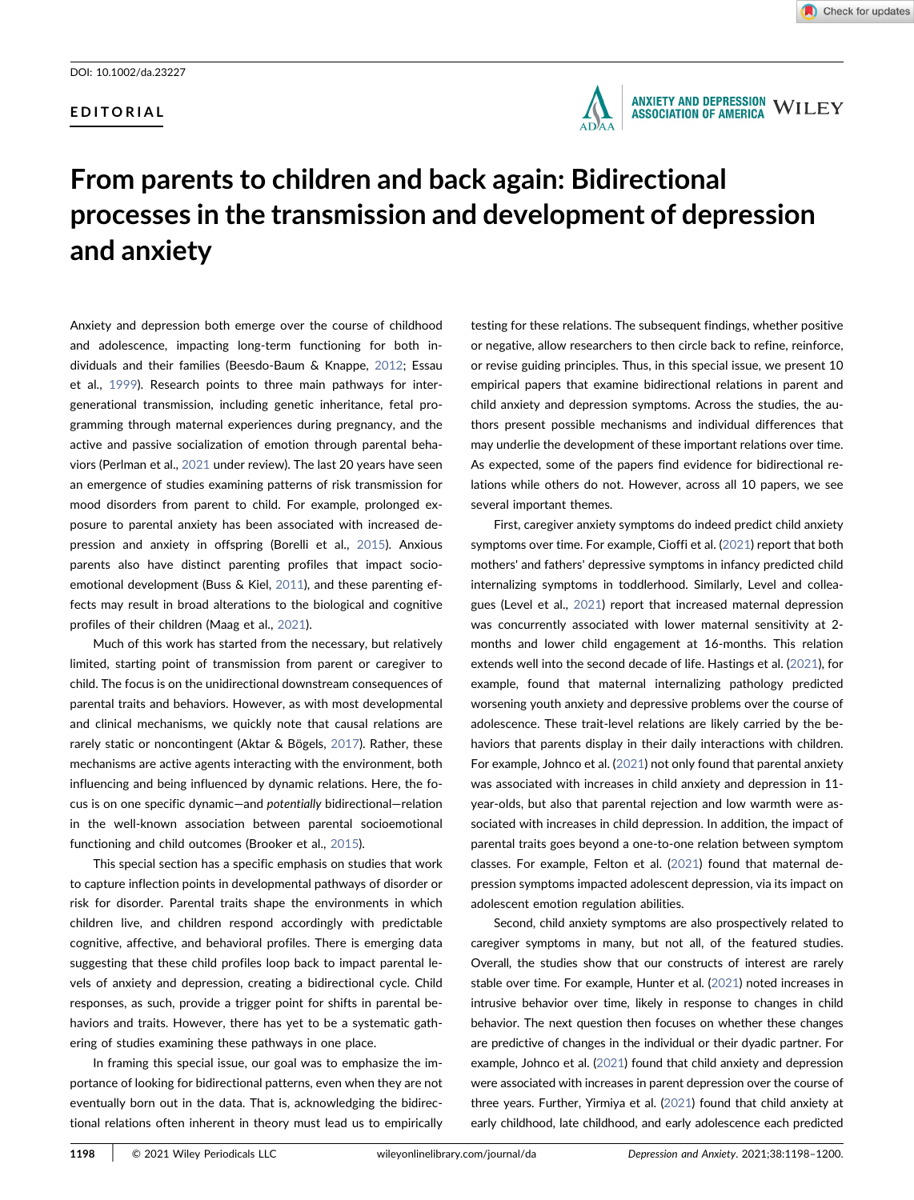## EDITORIAL





# From parents to children and back again: Bidirectional processes in the transmission and development of depression and anxiety

Anxiety and depression both emerge over the course of childhood and adolescence, impacting long‐term functioning for both individuals and their families (Beesdo‐Baum & Knappe, [2012;](#page-2-0) Essau et al., [1999\)](#page-2-1). Research points to three main pathways for intergenerational transmission, including genetic inheritance, fetal programming through maternal experiences during pregnancy, and the active and passive socialization of emotion through parental behaviors (Perlman et al., [2021](#page-2-2) under review). The last 20 years have seen an emergence of studies examining patterns of risk transmission for mood disorders from parent to child. For example, prolonged exposure to parental anxiety has been associated with increased depression and anxiety in offspring (Borelli et al., [2015](#page-2-3)). Anxious parents also have distinct parenting profiles that impact socioemotional development (Buss & Kiel, [2011](#page-2-4)), and these parenting effects may result in broad alterations to the biological and cognitive profiles of their children (Maag et al., [2021](#page-2-5)).

Much of this work has started from the necessary, but relatively limited, starting point of transmission from parent or caregiver to child. The focus is on the unidirectional downstream consequences of parental traits and behaviors. However, as with most developmental and clinical mechanisms, we quickly note that causal relations are rarely static or noncontingent (Aktar & Bögels, [2017](#page-2-6)). Rather, these mechanisms are active agents interacting with the environment, both influencing and being influenced by dynamic relations. Here, the focus is on one specific dynamic—and potentially bidirectional—relation in the well-known association between parental socioemotional functioning and child outcomes (Brooker et al., [2015\)](#page-2-7).

This special section has a specific emphasis on studies that work to capture inflection points in developmental pathways of disorder or risk for disorder. Parental traits shape the environments in which children live, and children respond accordingly with predictable cognitive, affective, and behavioral profiles. There is emerging data suggesting that these child profiles loop back to impact parental levels of anxiety and depression, creating a bidirectional cycle. Child responses, as such, provide a trigger point for shifts in parental behaviors and traits. However, there has yet to be a systematic gathering of studies examining these pathways in one place.

In framing this special issue, our goal was to emphasize the importance of looking for bidirectional patterns, even when they are not eventually born out in the data. That is, acknowledging the bidirectional relations often inherent in theory must lead us to empirically

testing for these relations. The subsequent findings, whether positive or negative, allow researchers to then circle back to refine, reinforce, or revise guiding principles. Thus, in this special issue, we present 10 empirical papers that examine bidirectional relations in parent and child anxiety and depression symptoms. Across the studies, the authors present possible mechanisms and individual differences that may underlie the development of these important relations over time. As expected, some of the papers find evidence for bidirectional relations while others do not. However, across all 10 papers, we see several important themes.

First, caregiver anxiety symptoms do indeed predict child anxiety symptoms over time. For example, Cioffi et al. ([2021](#page-2-8)) report that both mothers' and fathers' depressive symptoms in infancy predicted child internalizing symptoms in toddlerhood. Similarly, Level and colleagues (Level et al., [2021](#page-2-9)) report that increased maternal depression was concurrently associated with lower maternal sensitivity at 2‐ months and lower child engagement at 16‐months. This relation extends well into the second decade of life. Hastings et al. ([2021](#page-2-10)), for example, found that maternal internalizing pathology predicted worsening youth anxiety and depressive problems over the course of adolescence. These trait‐level relations are likely carried by the behaviors that parents display in their daily interactions with children. For example, Johnco et al. ([2021](#page-2-11)) not only found that parental anxiety was associated with increases in child anxiety and depression in 11‐ year‐olds, but also that parental rejection and low warmth were associated with increases in child depression. In addition, the impact of parental traits goes beyond a one‐to‐one relation between symptom classes. For example, Felton et al. [\(2021\)](#page-2-12) found that maternal depression symptoms impacted adolescent depression, via its impact on adolescent emotion regulation abilities.

Second, child anxiety symptoms are also prospectively related to caregiver symptoms in many, but not all, of the featured studies. Overall, the studies show that our constructs of interest are rarely stable over time. For example, Hunter et al. [\(2021\)](#page-2-13) noted increases in intrusive behavior over time, likely in response to changes in child behavior. The next question then focuses on whether these changes are predictive of changes in the individual or their dyadic partner. For example, Johnco et al. ([2021\)](#page-2-11) found that child anxiety and depression were associated with increases in parent depression over the course of three years. Further, Yirmiya et al. ([2021\)](#page-2-14) found that child anxiety at early childhood, late childhood, and early adolescence each predicted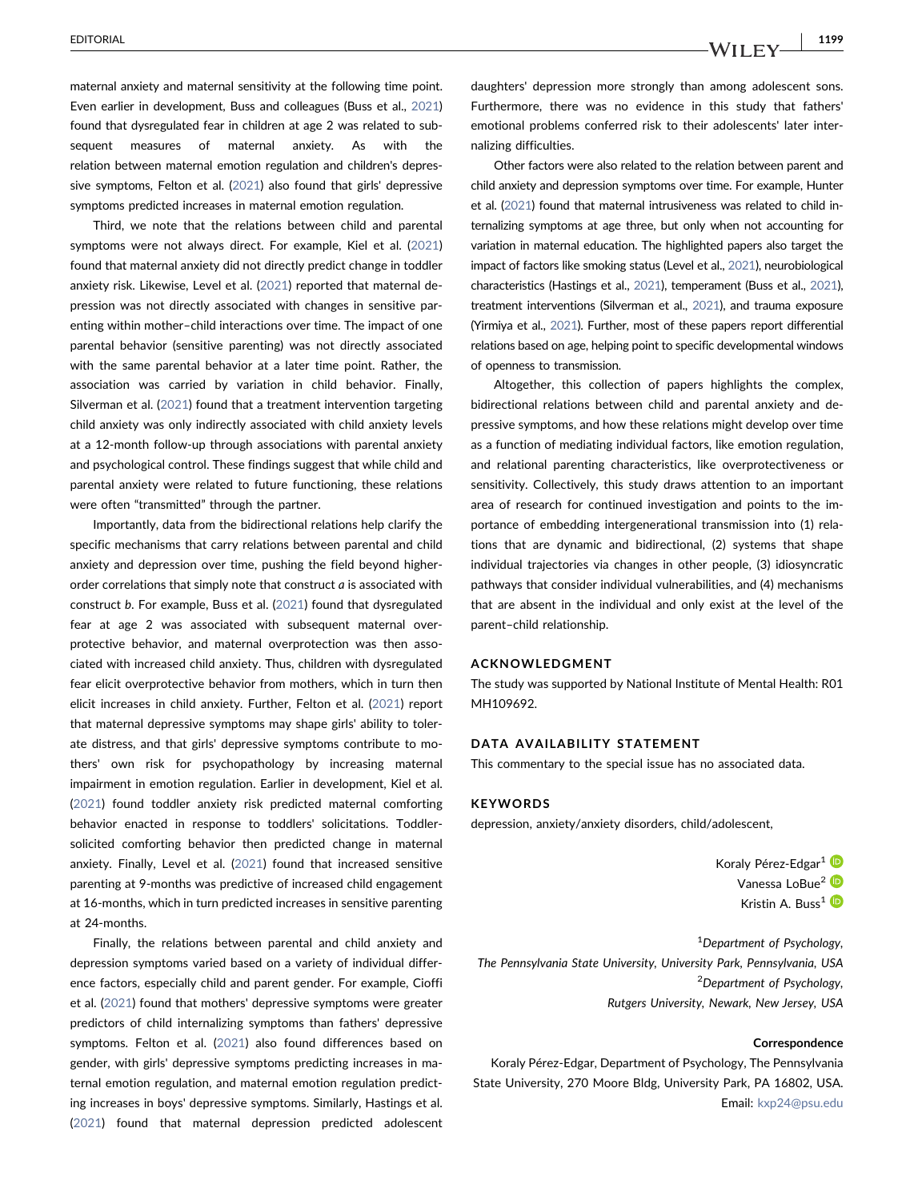maternal anxiety and maternal sensitivity at the following time point. Even earlier in development, Buss and colleagues (Buss et al., [2021](#page-2-15)) found that dysregulated fear in children at age 2 was related to subsequent measures of maternal anxiety. As with the relation between maternal emotion regulation and children's depressive symptoms, Felton et al. [\(2021\)](#page-2-12) also found that girls' depressive symptoms predicted increases in maternal emotion regulation.

Third, we note that the relations between child and parental symptoms were not always direct. For example, Kiel et al. ([2021](#page-2-16)) found that maternal anxiety did not directly predict change in toddler anxiety risk. Likewise, Level et al. [\(2021\)](#page-2-9) reported that maternal depression was not directly associated with changes in sensitive parenting within mother–child interactions over time. The impact of one parental behavior (sensitive parenting) was not directly associated with the same parental behavior at a later time point. Rather, the association was carried by variation in child behavior. Finally, Silverman et al. [\(2021](#page-2-17)) found that a treatment intervention targeting child anxiety was only indirectly associated with child anxiety levels at a 12‐month follow‐up through associations with parental anxiety and psychological control. These findings suggest that while child and parental anxiety were related to future functioning, these relations were often "transmitted" through the partner.

Importantly, data from the bidirectional relations help clarify the specific mechanisms that carry relations between parental and child anxiety and depression over time, pushing the field beyond higher‐ order correlations that simply note that construct a is associated with construct b. For example, Buss et al. ([2021](#page-2-15)) found that dysregulated fear at age 2 was associated with subsequent maternal overprotective behavior, and maternal overprotection was then associated with increased child anxiety. Thus, children with dysregulated fear elicit overprotective behavior from mothers, which in turn then elicit increases in child anxiety. Further, Felton et al. [\(2021](#page-2-12)) report that maternal depressive symptoms may shape girls' ability to tolerate distress, and that girls' depressive symptoms contribute to mothers' own risk for psychopathology by increasing maternal impairment in emotion regulation. Earlier in development, Kiel et al. ([2021](#page-2-16)) found toddler anxiety risk predicted maternal comforting behavior enacted in response to toddlers' solicitations. Toddler‐ solicited comforting behavior then predicted change in maternal anxiety. Finally, Level et al. ([2021](#page-2-9)) found that increased sensitive parenting at 9‐months was predictive of increased child engagement at 16‐months, which in turn predicted increases in sensitive parenting at 24‐months.

Finally, the relations between parental and child anxiety and depression symptoms varied based on a variety of individual difference factors, especially child and parent gender. For example, Cioffi et al. ([2021](#page-2-8)) found that mothers' depressive symptoms were greater predictors of child internalizing symptoms than fathers' depressive symptoms. Felton et al. [\(2021\)](#page-2-12) also found differences based on gender, with girls' depressive symptoms predicting increases in maternal emotion regulation, and maternal emotion regulation predicting increases in boys' depressive symptoms. Similarly, Hastings et al. ([2021](#page-2-10)) found that maternal depression predicted adolescent

daughters' depression more strongly than among adolescent sons. Furthermore, there was no evidence in this study that fathers' emotional problems conferred risk to their adolescents' later internalizing difficulties.

Other factors were also related to the relation between parent and child anxiety and depression symptoms over time. For example, Hunter et al. ([2021\)](#page-2-13) found that maternal intrusiveness was related to child internalizing symptoms at age three, but only when not accounting for variation in maternal education. The highlighted papers also target the impact of factors like smoking status (Level et al., [2021](#page-2-9)), neurobiological characteristics (Hastings et al., [2021\)](#page-2-10), temperament (Buss et al., [2021\)](#page-2-15), treatment interventions (Silverman et al., [2021](#page-2-17)), and trauma exposure (Yirmiya et al., [2021](#page-2-14)). Further, most of these papers report differential relations based on age, helping point to specific developmental windows of openness to transmission.

Altogether, this collection of papers highlights the complex, bidirectional relations between child and parental anxiety and depressive symptoms, and how these relations might develop over time as a function of mediating individual factors, like emotion regulation, and relational parenting characteristics, like overprotectiveness or sensitivity. Collectively, this study draws attention to an important area of research for continued investigation and points to the importance of embedding intergenerational transmission into (1) relations that are dynamic and bidirectional, (2) systems that shape individual trajectories via changes in other people, (3) idiosyncratic pathways that consider individual vulnerabilities, and (4) mechanisms that are absent in the individual and only exist at the level of the parent–child relationship.

#### ACKNOWLEDGMENT

The study was supported by National Institute of Mental Health: R01 MH109692.

#### DATA AVAILABILITY STATEMENT

This commentary to the special issue has no associated data.

#### **KEYWORDS**

depression, anxiety/anxiety disorders, child/adolescent,

Koraly Pérez-Edgar<sup>[1](http://orcid.org/0000-0003-4051-9563)</sup> Vanessa LoBue<sup>[2](http://orcid.org/0000-0002-4386-3549)</sup> Kristin A. Buss<sup>[1](http://orcid.org/0000-0001-5692-6126)</sup>

<sup>1</sup>Department of Psychology, The Pennsylvania State University, University Park, Pennsylvania, USA <sup>2</sup>Department of Psychology, Rutgers University, Newark, New Jersey, USA

#### Correspondence

Koraly Pérez‐Edgar, Department of Psychology, The Pennsylvania State University, 270 Moore Bldg, University Park, PA 16802, USA. Email: [kxp24@psu.edu](mailto:kxp24@psu.edu)